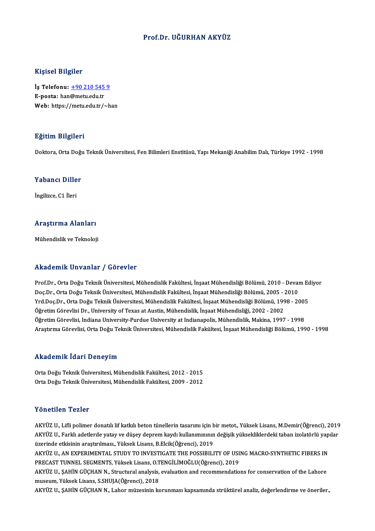### Prof.Dr. UĞURHAN AKYÜZ

### Kişisel Bilgiler

Kişisel Bilgiler<br>İş Telefonu: <u>+90 210 545 9</u><br>E nasta: ban@matuedutr 11131011 Dingmon<br>İş Telefonu: <u>+90 210 545</u><br>E-posta: han[@metu.edu.tr](tel:+90 210 545 9) E-posta: han@metu.edu.tr<br>Web: https://metu.edu.tr/~han

### Eğitim Bilgileri

Doktora, Orta Doğu Teknik Üniversitesi, Fen Bilimleri Enstitüsü, Yapı Mekaniği Anabilim Dalı, Türkiye 1992 - 1998

# Doktora, Orta Dogt<br>Yabancı Diller Y<mark>abancı Dille</mark><br>İngilizce, C1 İleri

# <sub>Ingliizce, CT lieri<br>Araştırma Alanları</sub> <mark>Araştırma Alanları</mark><br>Mühendislik ve Teknoloji

# Mühendislik ve Teknoloji<br>Akademik Unvanlar / Görevler

Akademik Unvanlar / Görevler<br>Prof.Dr., Orta Doğu Teknik Üniversitesi, Mühendislik Fakültesi, İnşaat Mühendisliği Bölümü, 2010 - Devam Ediyor<br>Des Dr., Orta Doğu Teknik Üniversitesi, Mühendislik Fakültesi, İnsaat Mühendisliğ rındu olirin "Oli vurindi" yı dör ovror<br>Prof.Dr., Orta Doğu Teknik Üniversitesi, Mühendislik Fakültesi, İnşaat Mühendisliği Bölümü, 2010 - Devai<br>Doç.Dr., Orta Doğu Teknik Üniversitesi, Mühendislik Fakültesi, İnşaat Mühendi Prof.Dr., Orta Doğu Teknik Üniversitesi, Mühendislik Fakültesi, İnşaat Mühendisliği Bölümü, 2010 - Devam Ec<br>Doç.Dr., Orta Doğu Teknik Üniversitesi, Mühendislik Fakültesi, İnşaat Mühendisliği Bölümü, 2005 - 2010<br>Yrd.Doç.Dr. Doç.Dr., Orta Doğu Teknik Üniversitesi, Mühendislik Fakültesi, İnşaat Mühendisliği Bölümü, 2005 - 2010<br>Yrd.Doç.Dr., Orta Doğu Teknik Üniversitesi, Mühendislik Fakültesi, İnşaat Mühendisliği Bölümü, 1998 - 2005<br>Öğretim Göre Öğretim Görevlisi, Indiana University-Purdue University at Indianapolis, Mühendislik, Makina, 1997 - 1998 Araştırma Görevlisi, Orta Doğu Teknik Üniversitesi, Mühendislik Fakültesi, İnşaat Mühendisliği Bölümü, 1990 - 1998

### Akademik İdari Deneyim

Akademik İdari Deneyim<br>Orta Doğu Teknik Üniversitesi, Mühendislik Fakültesi, 2012 - 2015<br>Orta Doğu Teknik Üniversitesi, Mühendislik Fakültesi, 2009 - 2012 OrtaDoğuTeknikÜniversitesi,MühendislikFakültesi,2009 -2012 Orta Doğu Teknik Üniversitesi, Mühendislik Fakültesi, 2009 - 2012<br>Yönetilen Tezler

Yönetilen Tezler<br>AKYÜZ U., Lifli polimer donatılı lif katkılı beton tünellerin tasarımı için bir metot., Yüksek Lisans, M.Demir(Öğrenci), 2019<br>AKYÜZ U., Farklı adatlarda yatay ve düşey danram kaydı kullanımının dağısık yük YÖNÖLILÖN YÖNÖN<br>AKYÜZ U., Lifli polimer donatılı lif katkılı beton tünellerin tasarımı için bir metot., Yüksek Lisans, M.Demir(Öğrenci), 2019<br>AKYÜZ U., Farklı adetlerde yatay ve düşey deprem kaydı kullanımınının değişik yü AKYÜZ U., Lifli polimer donatılı lif katkılı beton tünellerin tasarımı için b<br>AKYÜZ U., Farklı adetlerde yatay ve düşey deprem kaydı kullanımınının<br>üzerinde etkisinin araştırılması., Yüksek Lisans, B.Elcik(Öğrenci), 2019<br>A AKYÜZ U., Farklı adetlerde yatay ve düşey deprem kaydı kullanımınının değişik yüksekliklerdeki taban izolatörlü yapılar<br>üzerinde etkisinin araştırılması., Yüksek Lisans, B.Elcik(Öğrenci), 2019<br>AKYÜZ U.. AN EXPERIMENTAL STU

PRECAST TUNNEL SEGMENTS, Yüksek Lisans, O.TENGİLİMOĞLU(Öğrenci), 2019 AKYÜZ U., AN EXPERIMENTAL STUDY TO INVESTIGATE THE POSSIBILITY OF USING MACRO-SYNTHETIC FIBERS IN<br>PRECAST TUNNEL SEGMENTS, Yüksek Lisans, O.TENGİLİMOĞLU(Öğrenci), 2019<br>AKYÜZ U., ŞAHİN GÜÇHAN N., Structural analysis, evalua

PRECAST TUNNEL SEGMENTS, Yüksek Lisans, O.T<br>AKYÜZ U., ŞAHİN GÜÇHAN N., Structural analysis,<br>museum, Yüksek Lisans, S.SHUJA(Öğrenci), 2018<br>AKYÜZ U. SAHİN GÜÇHAN N. Laber mürseinin ke AKYÜZ U., ŞAHİN GÜÇHAN N., Structural analysis, evaluation and recommendations for conservation of the Lahore<br>museum, Yüksek Lisans, S.SHUJA(Öğrenci), 2018<br>AKYÜZ U., ŞAHİN GÜÇHAN N., Lahor müzesinin korunması kapsamında st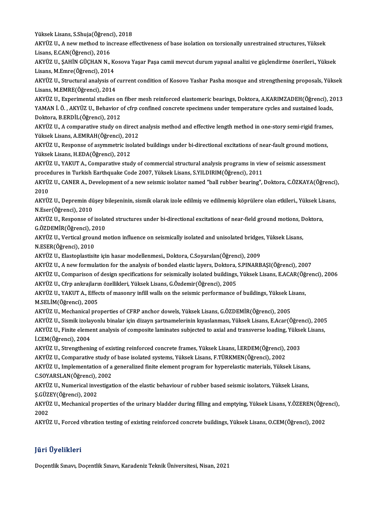Yüksek Lisans, S.Shuja(Öğrenci), 2018<br>AKVÜZ II. A nevi method ta ingreese ef

AKYÜZ U., A new method to increase effectiveness of base isolation on torsionally unrestrained structures, Yüksek<br>Lisans, E.CAN(Öğrenci), 2016 Yüksek Lisans, S.Shuja(Öğrenc<br>AKYÜZ U., A new method to in<br>Lisans, E.CAN(Öğrenci), 2016<br>AKYÜZ U. SAHİN CÜCHAN N AKYÜZ U., A new method to increase effectiveness of base isolation on torsionally unrestrained structures, Yüksek<br>Lisans, E.CAN(Öğrenci), 2016<br>AKYÜZ U., ŞAHİN GÜÇHAN N., Kosova Yaşar Paşa camii mevcut durum yapısal analizi

Lisans, E.CAN(Öğrenci), 2016<br>AKYÜZ U., ŞAHİN GÜÇHAN N., Ko<br>Lisans, M.Emre(Öğrenci), 2014<br>AKYÜZ II. Structural analysis of AKYÜZ U., ŞAHİN GÜÇHAN N., Kosova Yaşar Paşa camii mevcut durum yapısal analizi ve güçlendirme önerileri., Yüksek<br>Lisans, M.Emre(Öğrenci), 2014<br>AKYÜZ U., Structural analysis of current condition of Kosovo Yashar Pasha mosq

Lisans, M.Emre(Öğrenci), 2014<br>AKYÜZ U., Structural analysis of<br>Lisans, M.EMRE(Öğrenci), 2014<br>AKYÜZ II. Experimental studies AKYÜZ U., Structural analysis of current condition of Kosovo Yashar Pasha mosque and strengthening proposals, Yüksek<br>Lisans, M.EMRE(Öğrenci), 2014<br>AKYÜZ U., Experimental studies on fiber mesh reinforced elastomeric bearing

Lisans, M.EMRE(Öğrenci), 2014<br>AKYÜZ U., Experimental studies on fiber mesh reinforced elastomeric bearings, Doktora, A.KARIMZADEH(Öğrenci), 2<br>YAMAN İ. Ö. , AKYÜZ U., Behavior of cfrp confined concrete specimens under tempe AKYÜZ U., Experimental studies on fiber mesh reinforced elastomeric bearings, Doktora, A.KARIMZADEH(Öğrenci), 2013<br>YAMAN İ. Ö. , AKYÜZ U., Behavior of cfrp confined concrete specimens under temperature cycles and sustained YAMAN İ. Ö. , AKYÜZ U., Behavior of cfrp confined concrete specimens under temperature cycles and sustained loads,<br>Doktora, B.ERDİL(Öğrenci), 2012<br>AKYÜZ U., A comparative study on direct analysis method and effective lengt

Doktora, B.ERDİL (Öğrenci), 2012<br>AKYÜZ U., A comparative study on direct<br>Yüksek Lisans, A.EMRAH (Öğrenci), 2012<br>AKYÜZ II. Besponse of asummetria isələtd AKYÜZ U., A comparative study on direct analysis method and effective length method in one-story semi-rigid frame<br>Yüksek Lisans, A.EMRAH(Öğrenci), 2012<br>AKYÜZ U., Response of asymmetric isolated buildings under bi-direction

Yüksek Lisans, A.EMRAH(Öğrenci), 2012<br>AKYÜZ U., Response of asymmetric isolat<br>Yüksek Lisans, H.EDA(Öğrenci), 2012 AKYÜZ U., Response of asymmetric isolated buildings under bi-directional excitations of near-fault ground motions,

AKYÜZ U., YAKUT A., Comparative study of commercial structural analysis programs in view of seismic assessment procedures in Turkish Earthquake Code 2007, Yüksek Lisans, S.YILDIRIM(Öğrenci), 2011

AKYÜZ U., CANER A., Development of a new seismic isolator named "ball rubber bearing", Doktora, C.ÖZKAYA(Öğrenci),<br>2010 AKYÜZ U., CANER A., Development of a new seismic isolator named "ball rubber bearing", Doktora, C.ÖZKAYA(Öğrenci)<br>2010<br>AKYÜZ U., Depremin düşey bileşeninin, sismik olarak izole edilmiş ve edilmemiş köprülere olan etkileri.

2010<br>AKYÜZ U., Depremin dü<br>N.Eser(Öğrenci), 2010<br>AKYÜZ U. Besponse ef AKYÜZ U., Depremin düşey bileşeninin, sismik olarak izole edilmiş ve edilmemiş köprülere olan etkileri., Yüksek Lis<br>N.Eser(Öğrenci), 2010<br>AKYÜZ U., Response of isolated structures under bi-directional excitations of near-f

N.Eser(Öğrenci), 2010<br>AKYÜZ U., Response of isolated structures under bi-directional excitations of near-field ground motions, Doktora,<br>G.ÖZDEMİR(Öğrenci), 2010 AKYÜZ U., Response of isolated structures under bi-directional excitations of near-field ground motions, D<br>G.ÖZDEMİR(Öğrenci), 2010<br>AKYÜZ U., Vertical ground motion influence on seismically isolated and unisolated bridges,

N.ESER(Öğrenci), 2010<br>AKYÜZ U., Elastoplastisite için hasar modellenmesi., Doktora, C.Soyarslan(Öğrenci), 2009 AKYÜZ U., Vertical ground motion influence on seismically isolated and unisolated bridge:<br>N.ESER(Öğrenci), 2010<br>AKYÜZ U., Elastoplastisite için hasar modellenmesi., Doktora, C.Soyarslan(Öğrenci), 2009<br>AKYÜZ U., A new formu N.ESER(Öğrenci), 2010<br>AKYÜZ U., Elastoplastisite için hasar modellenmesi., Doktora, C.Soyarslan(Öğrenci), 2009<br>AKYÜZ U., A new formulation for the analysis of bonded elastic layers, Doktora, S.PINARBAŞI(Öğrenci), 2007<br>AKYÜ

AKYÜZ U., Comparison of design specifications for seismically isolated buildings, Yüksek Lisans, E.ACAR(Öğrenci), 2006<br>AKYÜZ U., Cfrp ankrajların özellikleri, Yüksek Lisans, G.Özdemir(Öğrenci), 2005 AKYÜZ U., A new formulation for the analysis of bonded elastic layers, Doktora,<br>AKYÜZ U., Comparison of design specifications for seismically isolated buildings,<br>AKYÜZ U., Cfrp ankrajların özellikleri, Yüksek Lisans, G.Özd

AKYÜZ U., Comparison of design specifications for seismically isolated buildings, Yüksek Lisans, E.ACAR(Öğ<br>AKYÜZ U., Cfrp ankrajların özellikleri, Yüksek Lisans, G.Özdemir(Öğrenci), 2005<br>AKYÜZ U., YAKUT A., Effects of maso AKYÜZ U., Cfrp ankrajları<br>AKYÜZ U., YAKUT A., Effed<br>M.SELİM(Öğrenci), 2005<br>AKYÜZ II. Mechanisal pre AKYÜZ U., YAKUT A., Effects of masonry infill walls on the seismic performance of buildings, Yüksek L.<br>M.SELİM(Öğrenci), 2005<br>AKYÜZ U., Mechanical properties of CFRP anchor dowels, Yüksek Lisans, G.ÖZDEMİR(Öğrenci), 2005<br>A M.SELİM(Öğrenci), 2005<br>AKYÜZ U., Mechanical properties of CFRP anchor dowels, Yüksek Lisans, G.ÖZDEMİR(Öğrenci), 2005<br>AKYÜZ U., Sismik izolayonlu binalar için dizayn şartnamelerinin kıyaslanması, Yüksek Lisans, E.Acar(Öğre

AKYÜZ U., Mechanical properties of CFRP anchor dowels, Yüksek Lisans, G.ÖZDEMİR(Öğrenci), 2005<br>AKYÜZ U., Sismik izolayonlu binalar için dizayn şartnamelerinin kıyaslanması, Yüksek Lisans, E.Acar(Öğrenci), 2005<br>AKYÜZ U., Fi AKYÜZ U., Sismik izolay<br>AKYÜZ U., Finite eleme<br>İ.CEM(Öğrenci), 2004<br>AKYÜZ U. Strengtheni AKYÜZ U., Finite element analysis of composite laminates subjected to axial and transverse loading, Yüksek Lisans,<br>i.CEM(Öğrenci), 2004<br>AKYÜZ U., Strengthening of existing reinforced concrete frames, Yüksek Lisans, İ.ERDEM

AKYÜZ U., Strengthening of existing reinforced concrete frames, Yüksek Lisans, İ.ERDEM(Öğrenci), 2003

AKYÜZ U., Strengthening of existing reinforced concrete frames, Yüksek Lisans, İ.ERDEM(Öğrenci), 2003<br>AKYÜZ U., Comparative study of base isolated systems, Yüksek Lisans, F.TÜRKMEN(Öğrenci), 2002<br>AKYÜZ U., Implementation o AKYÜZ U., Comparative study c<br>AKYÜZ U., Implementation of a<br>C.SOYARSLAN(Öğrenci), 2002<br>AKYÜZ II. Numerisəl investisat AKYÜZ U., Implementation of a generalized finite element program for hyperelastic materials, Yüksek Lisans,<br>C.SOYARSLAN(Öğrenci), 2002<br>AKYÜZ U., Numerical investigation of the elastic behaviour of rubber based seismic isol

C.SOYARSLAN(Öğrenci), 2002<br>AKYÜZ U., Numerical inve<br>Ş.GÜZEY(Öğrenci), 2002<br>AKYÜZ U. Meshanisal pre AKYÜZ U., Numerical investigation of the elastic behaviour of rubber based seismic isolators, Yüksek Lisans,<br>Ş.GÜZEY(Öğrenci), 2002<br>AKYÜZ U., Mechanical properties of the urinary bladder during filling and emptying, Yüksek

S GÜZ<br>AKYÜ.<br>2002 AKYÜZ U., Mechanical properties of the urinary bladder during filling and emptying, Yüksek Lisans, Y.ÖZEREN(Öğre<br>2002<br>AKYÜZ U., Forced vibration testing of existing reinforced concrete buildings, Yüksek Lisans, O.CEM(Öğren

AKYÜZ U., Forced vibration testing of existing reinforced concrete buildings, Yüksek Lisans, O.CEM(Öğrenci), 2002<br>Jüri Üyelikleri

Doçentlik Sınavı, Doçentlik Sınavı, Karadeniz Teknik Üniversitesi, Nisan, 2021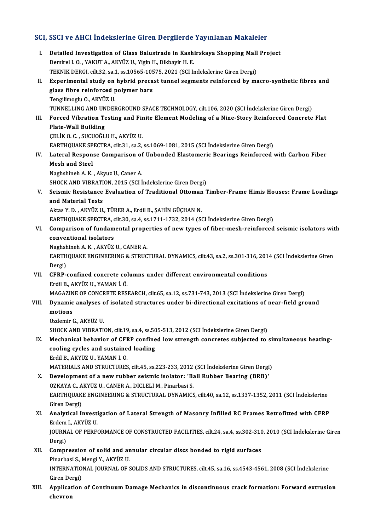# SCI, SSCI ve AHCI İndekslerine Giren Dergilerde Yayınlanan Makaleler<br>Makaleler

|       | SCI, SSCI ve AHCI İndekslerine Giren Dergilerde Yayınlanan Makaleler                                                                                                                                                              |
|-------|-----------------------------------------------------------------------------------------------------------------------------------------------------------------------------------------------------------------------------------|
| L.    | Detailed Investigation of Glass Balustrade in Kashirskaya Shopping Mall Project<br>Demirel I.O., YAKUT A., AKYÜZ U., Yigin H., Dikbayir H. E.<br>TEKNIK DERGI, cilt.32, sa.1, ss.10565-10575, 2021 (SCI İndekslerine Giren Dergi) |
| П.    | Experimental study on hybrid precast tunnel segments reinforced by macro-synthetic fibres and<br>glass fibre reinforced polymer bars                                                                                              |
| Ш.    | Tengilimoglu O., AKYÜZ U.<br>TUNNELLING AND UNDERGROUND SPACE TECHNOLOGY, cilt.106, 2020 (SCI İndekslerine Giren Dergi)<br>Forced Vibration Testing and Finite Element Modeling of a Nine-Story Reinforced Concrete Flat          |
|       | <b>Plate-Wall Building</b><br>ÇELİK O.C., SUCUOĞLU H., AKYÜZ U.                                                                                                                                                                   |
| IV    | EARTHQUAKE SPECTRA, cilt.31, sa.2, ss.1069-1081, 2015 (SCI Indekslerine Giren Dergi)<br>Lateral Response Comparison of Unbonded Elastomeric Bearings Reinforced with Carbon Fiber                                                 |
|       | <b>Mesh and Steel</b><br>Naghshineh A.K., Akyuz U., Caner A.                                                                                                                                                                      |
| V.    | SHOCK AND VIBRATION, 2015 (SCI İndekslerine Giren Dergi)<br>Seismic Resistance Evaluation of Traditional Ottoman Timber-Frame Himis Houses: Frame Loadings                                                                        |
|       | and Material Tests                                                                                                                                                                                                                |
|       | Aktas Y. D., AKYÜZ U., TÜRER A., Erdil B., ŞAHİN GÜÇHAN N.<br>EARTHQUAKE SPECTRA, cilt.30, sa.4, ss.1711-1732, 2014 (SCI İndekslerine Giren Dergi)                                                                                |
| VI.   | Comparison of fundamental properties of new types of fiber-mesh-reinforced seismic isolators with<br>conventional isolators                                                                                                       |
|       | Naghshineh A.K., AKYÜZ U., CANER A.<br>EARTHQUAKE ENGINEERING & STRUCTURAL DYNAMICS, cilt.43, sa.2, ss.301-316, 2014 (SCI Indekslerine Giren<br>Dergi)                                                                            |
| VII.  | CFRP-confined concrete columns under different environmental conditions<br>Erdil B., AKYÜZ U., YAMAN İ. Ö.                                                                                                                        |
| VIII. | MAGAZINE OF CONCRETE RESEARCH, cilt.65, sa.12, ss.731-743, 2013 (SCI İndekslerine Giren Dergi)<br>Dynamic analyses of isolated structures under bi-directional excitations of near-field ground                                   |
|       | motions<br>Ozdemir G., AKYÜZ U.                                                                                                                                                                                                   |
| IX.   | SHOCK AND VIBRATION, cilt.19, sa.4, ss.505-513, 2012 (SCI İndekslerine Giren Dergi)<br>Mechanical behavior of CFRP confined low strength concretes subjected to simultaneous heating-<br>cooling cycles and sustained loading     |
|       | Erdil B., AKYÜZ U., YAMAN İ. Ö.<br>MATERIALS AND STRUCTURES, cilt.45, ss.223-233, 2012 (SCI Indekslerine Giren Dergi)                                                                                                             |
| X.    | Development of a new rubber seismic isolator: 'Ball Rubber Bearing (BRB)'<br>ÖZKAYA C., AKYÜZ U., CANER A., DİCLELİ M., Pinarbasi S.                                                                                              |
| XI.   | EARTHQUAKE ENGINEERING & STRUCTURAL DYNAMICS, cilt.40, sa.12, ss.1337-1352, 2011 (SCI Indekslerine<br>Giren Dergi)<br>Analytical Investigation of Lateral Strength of Masonry Infilled RC Frames Retrofitted with CFRP            |
|       | Erdem I., AKYÜZ U.<br>JOURNAL OF PERFORMANCE OF CONSTRUCTED FACILITIES, cilt.24, sa.4, ss.302-310, 2010 (SCI Indekslerine Giren                                                                                                   |
| XII.  | Dergi)<br>Compression of solid and annular circular discs bonded to rigid surfaces                                                                                                                                                |
|       | Pinarbasi S., Mengi Y., AKYÜZ U.<br>INTERNATIONAL JOURNAL OF SOLIDS AND STRUCTURES, cilt.45, sa.16, ss.4543-4561, 2008 (SCI Indekslerine<br>Giren Dergi)                                                                          |
| XIII. | Application of Continuum Damage Mechanics in discontinuous crack formation: Forward extrusion<br>chevron                                                                                                                          |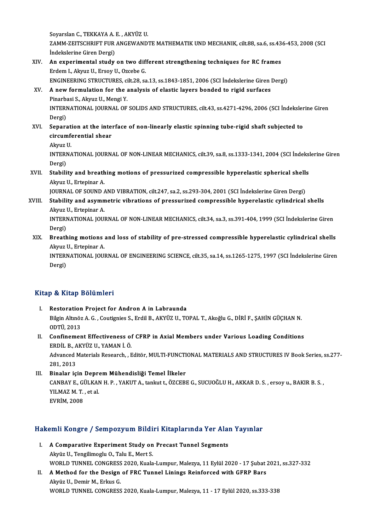SoyarslanC.,TEKKAYAA.E. ,AKYÜZU.

Soyarslan C., TEKKAYA A. E. , AKYÜZ U.<br>ZAMM-ZEITSCHRIFT FUR ANGEWANDTE MATHEMATIK UND MECHANIK, cilt.88, sa.6, ss.436-453, 2008 (SCI<br>İndekslerine Ciren Dergi) Soyarslan C., TEKKAYA A.<br>ZAMM-ZEITSCHRIFT FUR<br>İndekslerine Giren Dergi)<br>An avnarimantal studu ZAMM-ZEITSCHRIFT FUR ANGEWANDTE MATHEMATIK UND MECHANIK, cilt.88, sa.6, ss.43<br>Indekslerine Giren Dergi)<br>XIV. An experimental study on two different strengthening techniques for RC frames

İndekslerine Giren Dergi)<br>An experimental study on two dif:<br>Erdem I., Akyuz U., Ersoy U., Ozcebe G.<br>ENCINEEPINC STRUCTUPES silt 28.55 An experimental study on two different strengthening techniques for RC frames<br>Erdem I., Akyuz U., Ersoy U., Ozcebe G.<br>ENGINEERING STRUCTURES, cilt.28, sa.13, ss.1843-1851, 2006 (SCI İndekslerine Giren Dergi)<br>A new formulat Erdem I., Akyuz U., Ersoy U., Ozcebe G.<br>ENGINEERING STRUCTURES, cilt.28, sa.13, ss.1843-1851, 2006 (SCI İndekslerine Giren I<br>XV. A new formulation for the analysis of elastic layers bonded to rigid surfaces<br>Pinarbasi S

## ENGINEERING STRUCTURES, ci<br>A new formulation for the a<br>Pinarbasi S., Akyuz U., Mengi Y.<br>INTERNATIONAL JOURNAL OF A new formulation for the analysis of elastic layers bonded to rigid surfaces<br>Pinarbasi S., Akyuz U., Mengi Y.<br>INTERNATIONAL JOURNAL OF SOLIDS AND STRUCTURES, cilt.43, ss.4271-4296, 2006 (SCI İndekslerine Giren<br>Persi) Pinarba<br>INTERI<br>Dergi)<br>Senara

INTERNATIONAL JOURNAL OF SOLIDS AND STRUCTURES, cilt.43, ss.4271-4296, 2006 (SCI Indeksler<br>Dergi)<br>XVI. Separation at the interface of non-linearly elastic spinning tube-rigid shaft subjected to<br>cincumforantial shear Dergi)<br>Separation at the inter<br>circumferential shear<br>Alnus H Se<mark>parat</mark><br>circumf<br>Akyuz U.<br>INTERN/ circumferential shear<br>Akyuz U.<br>INTERNATIONAL JOURNAL OF NON-LINEAR MECHANICS, cilt.39, sa.8, ss.1333-1341, 2004 (SCI İndekslerine Giren

Akyuz <mark>|</mark><br>INTERI<br>Dergi)<br>Stabili INTERNATIONAL JOURNAL OF NON-LINEAR MECHANICS, cilt.39, sa.8, ss.1333-1341, 2004 (SCI Indeks)<br>Dergi)<br>XVII. Stability and breathing motions of pressurized compressible hyperelastic spherical shells

## Dergi)<br><mark>Stability and breath</mark><br>Akyuz U., Ertepinar A.<br>JOUPNAL OF SOUND 4 Stability and breathing motions of pressurized compressible hyperelastic spherical shell:<br>Akyuz U., Ertepinar A.<br>JOURNAL OF SOUND AND VIBRATION, cilt.247, sa.2, ss.293-304, 2001 (SCI İndekslerine Giren Dergi)<br>Stability and

Akyuz U., Ertepinar A.<br>JOURNAL OF SOUND AND VIBRATION, cilt.247, sa.2, ss.293-304, 2001 (SCI İndekslerine Giren Dergi)<br>XVIII. Stability and asymmetric vibrations of pressurized compressible hyperelastic cylindrical shells **JOURNAL OF SOUND A**<br>**Stability and asymn<br>Akyuz U., Ertepinar A.**<br>INTERNATIONAL JOU Stability and asymmetric vibrations of pressurized compressible hyperelastic cylindrical shells<br>Akyuz U., Ertepinar A.<br>INTERNATIONAL JOURNAL OF NON-LINEAR MECHANICS, cilt.34, sa.3, ss.391-404, 1999 (SCI İndekslerine Giren<br>

Akyuz U., Ertepinar A.<br>INTERNATIONAL JOURNAL OF NON-LINEAR MECHANICS, cilt.34, sa.3, ss.391-404, 1999 (SCI İndekslerine Giren<br>Dergi) INTERNATIONAL JOURNAL OF NON-LINEAR MECHANICS, cilt.34, sa.3, ss.391-404, 1999 (SCI İndekslerine Giren<br>Dergi)<br>XIX. Breathing motions and loss of stability of pre-stressed compressible hyperelastic cylindrical shells<br>Algua

Dergi)<br><mark>Breathing motions</mark><br>Akyuz U., Ertepinar A.<br>INTERNATIONAL IOU! Breathing motions and loss of stability of pre-stressed compressible hyperelastic cylindrical shells<br>Akyuz U., Ertepinar A.<br>INTERNATIONAL JOURNAL OF ENGINEERING SCIENCE, cilt.35, sa.14, ss.1265-1275, 1997 (SCI İndekslerine

Akyuz I<br>INTERI<br>Dergi)

# Dergi)<br>Kitap & Kitap Bölümleri

- I. Restoration Project for Andron A in Labraunda p & Krap Bordinici I<br>Restoration Project for Andron A in Labraunda<br>Bilgin Altınöz A. G. , Coutignies S., Erdil B., AKYÜZ U., TOPAL T., Akoğlu G., DİRİ F., ŞAHİN GÜÇHAN N.<br>ODTÜ 2012 Restoration<br>Bilgin Altınöz<br>ODTÜ, 2013<br>Confinamer Bilgin Altınöz A. G., Coutignies S., Erdil B., AKYÜZ U., TOPAL T., Akoğlu G., DİRİ F., ŞAHİN GÜÇHAN N.<br>ODTÜ, 2013<br>II. Confinement Effectiveness of CFRP in Axial Members under Various Loading Conditions<br>FRDU B. AKYÜZ II. YA
- ODTÜ, 2013<br>II. Confinement Effectiveness of CFRP in Axial Members under Various Loading Conditions<br>ERDİL B., AKYÜZ U., YAMAN İ.Ö. Confinement Effectiveness of CFRP in Axial Members under Various Loading Conditions<br>ERDİL B., AKYÜZ U., YAMAN İ. Ö.<br>Advanced Materials Research, , Editör, MULTI-FUNCTIONAL MATERIALS AND STRUCTURES IV Book Series, ss.277-<br>2 ERDİL B., A<br>Advanced I<br>281, 2013<br>Pinalar is

281, 2013<br>III. Binalar için Deprem Mühendisliği Temel İlkeler 281, 2013<br>Binalar için Deprem Mühendisliği Temel İlkeler<br>CANBAY E., GÜLKAN H. P. , YAKUT A., tankut t., ÖZCEBE G., SUCUOĞLU H., AKKAR D. S. , ersoy u., BAKIR B. S. ,<br>YU MAZ M. T. et al **Binalar için Depre<br>CANBAY E., GÜLKAN<br>YILMAZ M. T. , et al.<br>EVRİM 2009** CANBAY E., GI<br>YILMAZ M. T.<br>EVRİM, 2008

# HakemliKongre / SempozyumBildiriKitaplarında Yer Alan Yayınlar

- akemli Kongre / Sempozyum Bildiri Kitaplarında Yer Alar<br>I. A Comparative Experiment Study on Precast Tunnel Segments I. A Comparative Experiment Study on Precast Tunnel Segments<br>Akyüz U., Tengilimoglu O., Talu E., Mert S. WORLD TUNNEL CONGRESS 2020, Kuala-Lumpur, Malezya, 11 Eylül 2020 - 17 Şubat 2021, ss.327-332 Akyüz U., Tengilimoglu O., Talu E., Mert S.<br>WORLD TUNNEL CONGRESS 2020, Kuala-Lumpur, Malezya, 11 Eylül 2020 - 17 Şubat :<br>II. A Method for the Design of FRC Tunnel Linings Reinforced with GFRP Bars
- WORLD TUNNEL CONGRESS<br>**A Method for the Design<br>Akyüz U., Demir M., Erkus G.<br>WORLD TINNEL CONCRESS** Akyüz U., Demir M., Erkus G.<br>WORLD TUNNEL CONGRESS 2020, Kuala-Lumpur, Malezya, 11 - 17 Eylül 2020, ss.333-338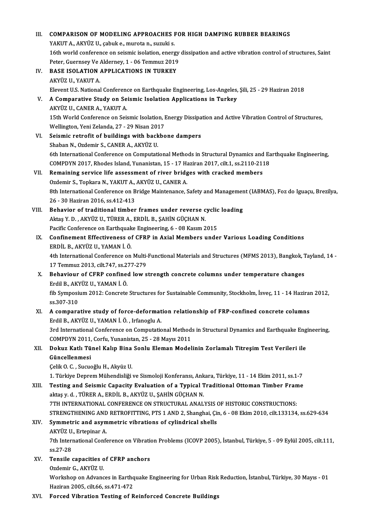## III. COMPARISON OF MODELING APPROACHES FOR HIGH DAMPING RUBBER BEARINGS<br>VARUT A ARYÜZ II. sebukg murata p. surulig. COMPARISON OF MODELING APPROACHES I<br>YAKUT A., AKYÜZ U., çabuk e., murota n., suzuki s.<br>16th uvarld senferense en sejamis isolation, energ COMPARISON OF MODELING APPROACHES FOR HIGH DAMPING RUBBER BEARINGS<br>YAKUT A., AKYÜZ U., çabuk e., murota n., suzuki s.<br>16th world conference on seismic isolation, energy dissipation and active vibration control of structure YAKUT A., AKYÜZ U., çabuk e., murota n., suzuki s.<br>16th world conference on seismic isolation, energy<br>Peter, Guernsey Ve Alderney, 1 - 06 Temmuz 2019<br>PASE ISOLATION APPLICATIONS IN TURKEY 16th world conference on seismic isolation, energy<br>Peter, Guernsey Ve Alderney, 1 - 06 Temmuz 2019<br>IV. BASE ISOLATION APPLICATIONS IN TURKEY Peter, Guernsey Ve<br>**BASE ISOLATION**<br>AKYÜZ U., YAKUT A.<br>Elevent U.S. National BASE ISOLATION APPLICATIONS IN TURKEY<br>AKYÜZ U., YAKUT A.<br>Elevent U.S. National Conference on Earthquake Engineering, Los-Angeles, Şili, 25 - 29 Haziran 2018<br>A Comparative Study on Seismis Isolation Applications in Turkey AKYÜZ U., YAKUT A.<br>Elevent U.S. National Conference on Earthquake Engineering, Los-Angeles<br>V. **A Comparative Study on Seismic Isolation Applications in Turkey**<br>AKYÜZ U., CANER A., YAKUT A. Elevent U.S. National Conference<br>**A Comparative Study on Se**<br>AKYÜZ U., CANER A., YAKUT A.<br>15th World Conference on Seit A Comparative Study on Seismic Isolation Applications in Turkey<br>AKYÜZ U., CANER A., YAKUT A.<br>15th World Conference on Seismic Isolation, Energy Dissipation and Active Vibration Control of Structures,<br>Wellington Noni Zeland AKYÜZ U., CANER A., YAKUT A.<br>15th World Conference on Seismic Isolation, I<br>Wellington, Yeni Zelanda, 27 - 29 Nisan 2017<br>Seismis retrofit of buildings with boskbo 15th World Conference on Seismic Isolation, Energy Dissipa<br>Wellington, Yeni Zelanda, 27 - 29 Nisan 2017<br>VI. Seismic retrofit of buildings with backbone dampers<br>Shaban N. Ordamir S. CANER A. AKVÜZ U. Wellington, Yeni Zelanda, 27 - 29 Nisan 2017<br>VI. Seismic retrofit of buildings with backbone dampers<br>Shaban N., Ozdemir S., CANER A., AKYÜZ U. Seismic retrofit of buildings with backbone dampers<br>Shaban N., Ozdemir S., CANER A., AKYÜZ U.<br>6th International Conference on Computational Methods in Structural Dynamics and Earthquake Engineering,<br>COMPDYN 2017, Phodes Je Shaban N., Ozdemir S., CANER A., AKYÜZ U.<br>6th International Conference on Computational Methods in Structural Dynamics and Ea<br>COMPDYN 2017, Rhodes Island, Yunanistan, 15 - 17 Haziran 2017, cilt.1, ss.2110-2118<br>Remaining se 6th International Conference on Computational Methods in Structural Dynamics and<br>COMPDYN 2017, Rhodes Island, Yunanistan, 15 - 17 Haziran 2017, cilt.1, ss.2110-211<br>VII. Remaining service life assessment of river bridges wi COMPDYN 2017, Rhodes Island, Yunanistan, 15 - 17 Haziran 2017, cilt.1, ss.2110-2118<br>Remaining service life assessment of river bridges with cracked members 8th International Conference on Bridge Maintenance, Safety and Management (IABMAS), Foz do Iguaçu, Brezilya, 26 - 30 Haziran 2016, ss.412-413 Ozdemir S., Topkara N., YAKUT A., AKYÜZ U., CANER A. 8th International Conference on Bridge Maintenance, Safety and Managemer<br>26 - 30 Haziran 2016, ss.412-413<br>VIII. Behavior of traditional timber frames under reverse cyclic loading<br>Altre V.D. Akvilz U. Tüpen A. Eppil B. SAHN 26 - 30 Haziran 2016, ss.412-413<br>Behavior of traditional timber frames under reverse c<br>Aktaş Y. D. , AKYÜZ U., TÜRER A., ERDİL B., ŞAHİN GÜÇHAN N.<br>Pasifis Conference en Farthaueks Engineering 6 - 08 Kasım 2 Behavior of traditional timber frames under reverse cyclic<br>Aktaş Y. D. , AKYÜZ U., TÜRER A., ERDİL B., ŞAHİN GÜÇHAN N.<br>Pacific Conference on Earthquake Engineering, 6 - 08 Kasım 2015<br>Confinement Effectiveness of GEBB in Av Aktaş Y. D. , AKYÜZ U., TÜRER A., ERDİL B., ŞAHİN GÜÇHAN N.<br>Pacific Conference on Earthquake Engineering, 6 - 08 Kasım 2015<br>IX. Confinement Effectiveness of CFRP in Axial Members under Various Loading Conditions<br>EPDIL B. A Pacific Conference on Earthquak<br>Confinement Effectiveness of<br>ERDİL B., AKYÜZ U., YAMAN İ. Ö.<br>4th International Conference on Confinement Effectiveness of CFRP in Axial Members under Various Loading Conditions<br>ERDİL B., AKYÜZ U., YAMAN İ. Ö.<br>4th International Conference on Multi-Functional Materials and Structures (MFMS 2013), Bangkok, Tayland, 1 ERDİL B., AKYÜZ U., YAMAN İ. Ö.<br>4th International Conference on Multi-<br>17 Temmuz 2013, cilt.747, ss.277-279<br>Behaviour of CEBB senfined lew s X. Behaviour of CFRP confined low strength concrete columns under temperature changes<br>Erdil B., AKYÜZ U., YAMAN İ. Ö. 17 Temmuz 2013, cilt 747, ss 277-279 **Behaviour of CFRP confined low strength concrete columns under temperature changes<br>Erdil B., AKYÜZ U., YAMAN İ. Ö.<br>fib Symposium 2012: Concrete Structures for Sustainable Community, Stockholm, İsveç, 11 - 14 Haziran 2012,** Erdil B., AKY<br>fib Symposi<br>ss.307-310 fib Symposium 2012: Concrete Structures for Sustainable Community, Stockholm, İsveç, 11 - 14 Hazirai<br>ss.307-310<br>XI. A comparative study of force-deformation relationship of FRP-confined concrete columns<br>Frdil P. AKVÜZ II. ss.307-310<br>XI. A comparative study of force-deformation relationship of FRP-confined concrete columns<br>Erdil B., AKYÜZ U., YAMAN İ. Ö. , Irfanoglu A. A comparative study of force-deformation relationship of FRP-confined concrete columns<br>Erdil B., AKYÜZ U., YAMAN İ. Ö. , Irfanoglu A.<br>3rd International Conference on Computational Methods in Structural Dynamics and Earthqu Erdil B., AKYÜZ U., YAMAN İ. Ö. , Irfanoglu A.<br>3rd International Conference on Computational Method:<br>COMPDYN 2011, Corfu, Yunanistan, 25 - 28 Mayıs 2011<br>Doluur Katlı Tünel Kalın Bina Sonlu Eleman Madel 3rd International Conference on Computational Methods in Structural Dynamics and Earthquake Eng<br>COMPDYN 2011, Corfu, Yunanistan, 25 - 28 Mayıs 2011<br>XII. Dokuz Katlı Tünel Kalıp Bina Sonlu Eleman Modelinin Zorlamalı Titreşi COMPDYN 2011,<br>Dokuz Katlı Tü<br>Güncellenmesi Dokuz Katlı Tünel Kalıp Bina<br>Güncellenmesi<br>Çelik O. C. , Sucuoğlu H., Akyüz U.<br>1. Türkiye Denrem Mühendieliği Güncellenmesi<br>Çelik O. C. , Sucuoğlu H., Akyüz U.<br>1. Türkiye Deprem Mühendisliği ve Sismoloji Konferansı, Ankara, Türkiye, 11 - 14 Ekim 2011, ss.1-7<br>Testing and Seismis Canasity Evaluation of a Tynisel Traditional Ottoman Celik O. C. , Sucuoğlu H., Akyüz U.<br>1. Türkiye Deprem Mühendisliği ve Sismoloji Konferansı, Ankara, Türkiye, 11 - 14 Ekim 2011, ss.1-7<br>2. XIII. Testing and Seismic Capacity Evaluation of a Typical Traditional Ottoman T 1. Türkiye Deprem Mühendisliği ve Sismoloji Konferansı, Ank<br>Testing and Seismic Capacity Evaluation of a Typical 1<br>aktaş y. d. , TÜRER A., ERDİL B., AKYÜZ U., ŞAHİN GÜÇHAN N.<br>7TH INTERNATIONAL CONFERENCE ON STRUCTURAL ANAL Testing and Seismic Capacity Evaluation of a Typical Traditional Ottoman Timber Frame<br>aktaş y. d. , TÜRER A., ERDİL B., AKYÜZ U., ŞAHİN GÜÇHAN N.<br>7TH INTERNATIONAL CONFERENCE ON STRUCTURAL ANALYSIS OF HISTORIC CONSTRUCTION aktaş y. d. , TÜRER A., ERDİL B., AKYÜZ U., ŞAHİN GÜÇHAN N.<br>7TH INTERNATIONAL CONFERENCE ON STRUCTURAL ANALYSIS OF HISTORIC CONSTRUCTIONS:<br>STRENGTHENING AND RETROFITTING, PTS 1 AND 2, Shanghai, Çin, 6 - 08 Ekim 2010, cilt. XIV. Symmetric and asymmetric vibrations of cylindrical shells STRENGTHENING AND<br>Symmetric and asym<br>AKYÜZ U., Ertepinar A.<br><sup>7th International Confe</sub></sup> 7th International Conference on Vibration Problems (ICOVP 2005), İstanbul, Türkiye, 5 - 09 Eylül 2005, cilt.111, ss.27-28 AKYÜZ U., Ertepinar A. 7th International Conference on Vibrations.<br>
SS.27-28<br>
XV. Tensile capacities of CFRP anchors<br>
Ordemin C. AKVUZ U. ss.27-28<br>Tensile capacities o<br>Ozdemir G., AKYÜZ U.<br>Werkeben en Advang Ozdemir G., AKYÜZ U.<br>Workshop on Advances in Earthquake Engineering for Urban Risk Reduction, İstanbul, Türkiye, 30 Mayıs - 01 Haziran2005, cilt.66, ss.471-472 XVI. Forced Vibration Testing of Reinforced Concrete Buildings